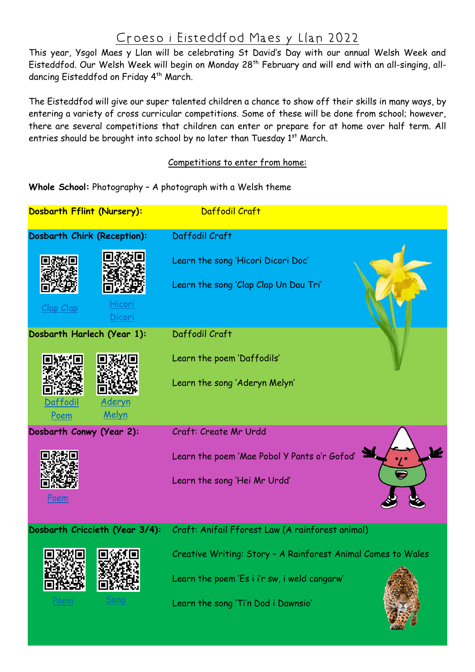## Croeso i Eisteddfod Maes y Llan 2022

This year, Ysgol Maes y Llan will be celebrating St David's Day with our annual Welsh Week and Eisteddfod. Our Welsh Week will begin on Monday 28<sup>th</sup> February and will end with an all-singing, alldancing Eisteddfod on Friday 4<sup>th</sup> March.

The Eisteddfod will give our super talented children a chance to show off their skills in many ways, by entering a variety of cross curricular competitions. Some of these will be done from school; however, there are several competitions that children can enter or prepare for at home over half term. All entries should be brought into school by no later than Tuesday 1<sup>st</sup> March.

## Competitions to enter from home:

## **Whole School:** Photography – A photograph with a Welsh theme



Learn the song 'Ti'n Dod i Dawnsio'